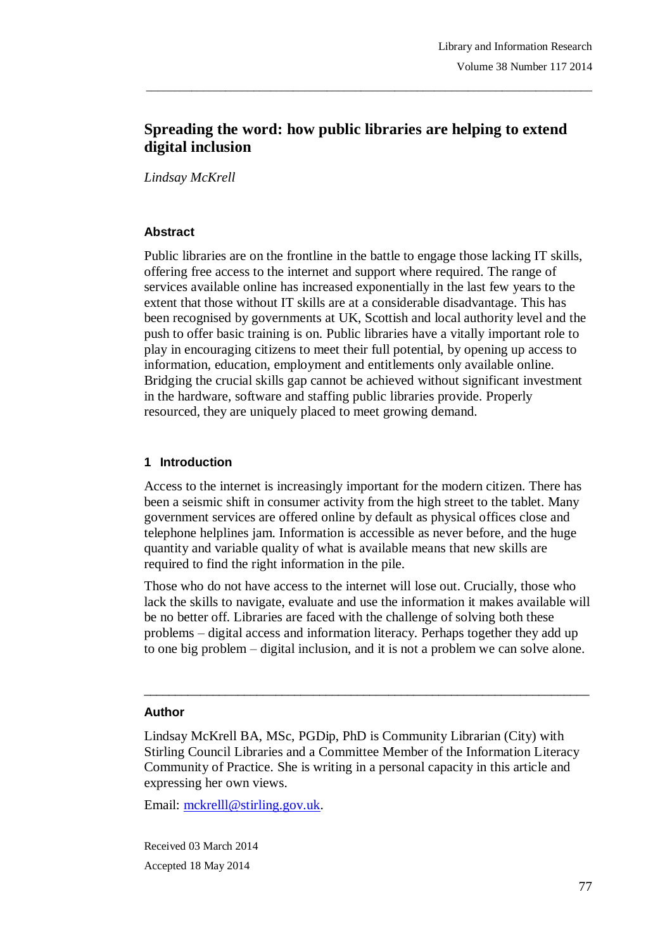# **Spreading the word: how public libraries are helping to extend digital inclusion**

\_\_\_\_\_\_\_\_\_\_\_\_\_\_\_\_\_\_\_\_\_\_\_\_\_\_\_\_\_\_\_\_\_\_\_\_\_\_\_\_\_\_\_\_\_\_\_\_\_\_\_\_\_\_\_\_\_\_\_\_\_\_\_\_\_\_\_\_\_\_\_\_\_\_\_\_\_\_\_

*Lindsay McKrell*

#### **Abstract**

Public libraries are on the frontline in the battle to engage those lacking IT skills, offering free access to the internet and support where required. The range of services available online has increased exponentially in the last few years to the extent that those without IT skills are at a considerable disadvantage. This has been recognised by governments at UK, Scottish and local authority level and the push to offer basic training is on. Public libraries have a vitally important role to play in encouraging citizens to meet their full potential, by opening up access to information, education, employment and entitlements only available online. Bridging the crucial skills gap cannot be achieved without significant investment in the hardware, software and staffing public libraries provide. Properly resourced, they are uniquely placed to meet growing demand.

#### **1 Introduction**

Access to the internet is increasingly important for the modern citizen. There has been a seismic shift in consumer activity from the high street to the tablet. Many government services are offered online by default as physical offices close and telephone helplines jam. Information is accessible as never before, and the huge quantity and variable quality of what is available means that new skills are required to find the right information in the pile.

Those who do not have access to the internet will lose out. Crucially, those who lack the skills to navigate, evaluate and use the information it makes available will be no better off. Libraries are faced with the challenge of solving both these problems – digital access and information literacy. Perhaps together they add up to one big problem – digital inclusion, and it is not a problem we can solve alone.

 $\_$  ,  $\_$  ,  $\_$  ,  $\_$  ,  $\_$  ,  $\_$  ,  $\_$  ,  $\_$  ,  $\_$  ,  $\_$  ,  $\_$  ,  $\_$  ,  $\_$  ,  $\_$  ,  $\_$  ,  $\_$  ,  $\_$  ,  $\_$  ,  $\_$ 

#### **Author**

Lindsay McKrell BA, MSc, PGDip, PhD is Community Librarian (City) with Stirling Council Libraries and a Committee Member of the Information Literacy Community of Practice. She is writing in a personal capacity in this article and expressing her own views.

Email: mckrelll@stirling.gov.uk.

Received 03 March 2014 Accepted 18 May 2014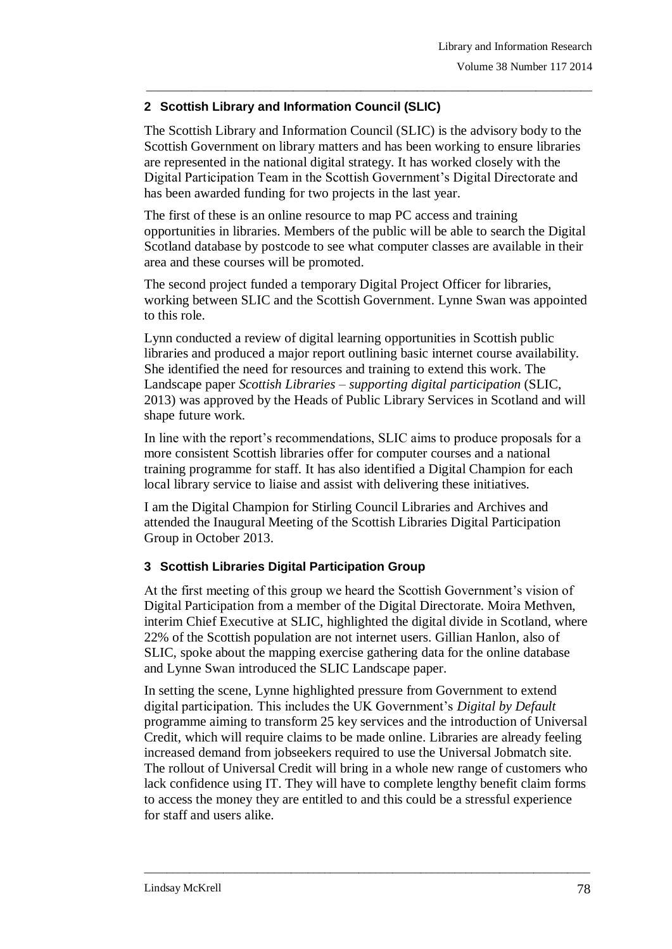## **2 Scottish Library and Information Council (SLIC)**

The Scottish Library and Information Council (SLIC) is the advisory body to the Scottish Government on library matters and has been working to ensure libraries are represented in the national digital strategy. It has worked closely with the Digital Participation Team in the Scottish Government's Digital Directorate and has been awarded funding for two projects in the last year.

\_\_\_\_\_\_\_\_\_\_\_\_\_\_\_\_\_\_\_\_\_\_\_\_\_\_\_\_\_\_\_\_\_\_\_\_\_\_\_\_\_\_\_\_\_\_\_\_\_\_\_\_\_\_\_\_\_\_\_\_\_\_\_\_\_\_\_\_\_\_\_\_\_\_\_\_\_\_\_

The first of these is an online resource to map PC access and training opportunities in libraries. Members of the public will be able to search the Digital Scotland database by postcode to see what computer classes are available in their area and these courses will be promoted.

The second project funded a temporary Digital Project Officer for libraries, working between SLIC and the Scottish Government. Lynne Swan was appointed to this role.

Lynn conducted a review of digital learning opportunities in Scottish public libraries and produced a major report outlining basic internet course availability. She identified the need for resources and training to extend this work. The Landscape paper *Scottish Libraries – supporting digital participation* (SLIC, 2013) was approved by the Heads of Public Library Services in Scotland and will shape future work.

In line with the report's recommendations, SLIC aims to produce proposals for a more consistent Scottish libraries offer for computer courses and a national training programme for staff. It has also identified a Digital Champion for each local library service to liaise and assist with delivering these initiatives.

I am the Digital Champion for Stirling Council Libraries and Archives and attended the Inaugural Meeting of the Scottish Libraries Digital Participation Group in October 2013.

# **3 Scottish Libraries Digital Participation Group**

At the first meeting of this group we heard the Scottish Government's vision of Digital Participation from a member of the Digital Directorate. Moira Methven, interim Chief Executive at SLIC, highlighted the digital divide in Scotland, where 22% of the Scottish population are not internet users. Gillian Hanlon, also of SLIC, spoke about the mapping exercise gathering data for the online database and Lynne Swan introduced the SLIC Landscape paper.

In setting the scene, Lynne highlighted pressure from Government to extend digital participation. This includes the UK Government's *Digital by Default* programme aiming to transform 25 key services and the introduction of Universal Credit, which will require claims to be made online. Libraries are already feeling increased demand from jobseekers required to use the Universal Jobmatch site. The rollout of Universal Credit will bring in a whole new range of customers who lack confidence using IT. They will have to complete lengthy benefit claim forms to access the money they are entitled to and this could be a stressful experience for staff and users alike.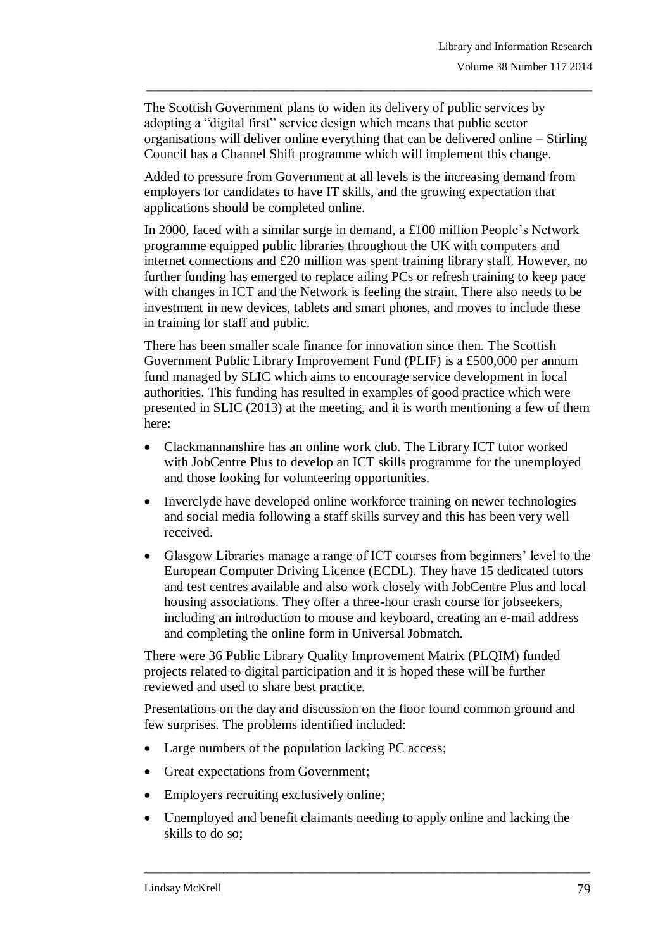The Scottish Government plans to widen its delivery of public services by adopting a "digital first" service design which means that public sector organisations will deliver online everything that can be delivered online – Stirling Council has a Channel Shift programme which will implement this change.

\_\_\_\_\_\_\_\_\_\_\_\_\_\_\_\_\_\_\_\_\_\_\_\_\_\_\_\_\_\_\_\_\_\_\_\_\_\_\_\_\_\_\_\_\_\_\_\_\_\_\_\_\_\_\_\_\_\_\_\_\_\_\_\_\_\_\_\_\_\_\_\_\_\_\_\_\_\_\_

Added to pressure from Government at all levels is the increasing demand from employers for candidates to have IT skills, and the growing expectation that applications should be completed online.

In 2000, faced with a similar surge in demand, a £100 million People's Network programme equipped public libraries throughout the UK with computers and internet connections and £20 million was spent training library staff. However, no further funding has emerged to replace ailing PCs or refresh training to keep pace with changes in ICT and the Network is feeling the strain. There also needs to be investment in new devices, tablets and smart phones, and moves to include these in training for staff and public.

There has been smaller scale finance for innovation since then. The Scottish Government Public Library Improvement Fund (PLIF) is a £500,000 per annum fund managed by SLIC which aims to encourage service development in local authorities. This funding has resulted in examples of good practice which were presented in SLIC (2013) at the meeting, and it is worth mentioning a few of them here:

- Clackmannanshire has an online work club. The Library ICT tutor worked with JobCentre Plus to develop an ICT skills programme for the unemployed and those looking for volunteering opportunities.
- Inverclyde have developed online workforce training on newer technologies and social media following a staff skills survey and this has been very well received.
- Glasgow Libraries manage a range of ICT courses from beginners' level to the European Computer Driving Licence (ECDL). They have 15 dedicated tutors and test centres available and also work closely with JobCentre Plus and local housing associations. They offer a three-hour crash course for jobseekers, including an introduction to mouse and keyboard, creating an e-mail address and completing the online form in Universal Jobmatch.

There were 36 Public Library Quality Improvement Matrix (PLQIM) funded projects related to digital participation and it is hoped these will be further reviewed and used to share best practice.

Presentations on the day and discussion on the floor found common ground and few surprises. The problems identified included:

- Large numbers of the population lacking PC access;
- Great expectations from Government;
- Employers recruiting exclusively online;
- Unemployed and benefit claimants needing to apply online and lacking the skills to do so;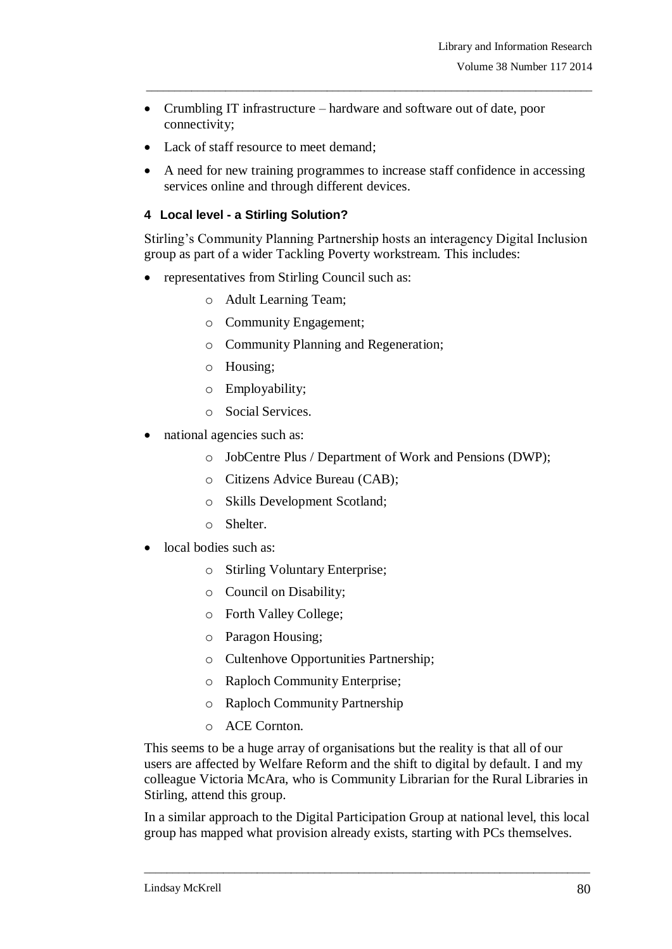- Crumbling IT infrastructure hardware and software out of date, poor connectivity;
- Lack of staff resource to meet demand;
- A need for new training programmes to increase staff confidence in accessing services online and through different devices.

\_\_\_\_\_\_\_\_\_\_\_\_\_\_\_\_\_\_\_\_\_\_\_\_\_\_\_\_\_\_\_\_\_\_\_\_\_\_\_\_\_\_\_\_\_\_\_\_\_\_\_\_\_\_\_\_\_\_\_\_\_\_\_\_\_\_\_\_\_\_\_\_\_\_\_\_\_\_\_

### **4 Local level - a Stirling Solution?**

Stirling's Community Planning Partnership hosts an interagency Digital Inclusion group as part of a wider Tackling Poverty workstream. This includes:

- representatives from Stirling Council such as:
	- o Adult Learning Team;
	- o Community Engagement;
	- o Community Planning and Regeneration;
	- o Housing;
	- o Employability;
	- o Social Services.
- national agencies such as:
	- o JobCentre Plus / Department of Work and Pensions (DWP);
	- o Citizens Advice Bureau (CAB);
	- o Skills Development Scotland;
	- o Shelter.
- local bodies such as:
	- o Stirling Voluntary Enterprise;
	- o Council on Disability;
	- o Forth Valley College;
	- o Paragon Housing;
	- o Cultenhove Opportunities Partnership;
	- o Raploch Community Enterprise;
	- o Raploch Community Partnership
	- o ACE Cornton.

This seems to be a huge array of organisations but the reality is that all of our users are affected by Welfare Reform and the shift to digital by default. I and my colleague Victoria McAra, who is Community Librarian for the Rural Libraries in Stirling, attend this group.

In a similar approach to the Digital Participation Group at national level, this local group has mapped what provision already exists, starting with PCs themselves.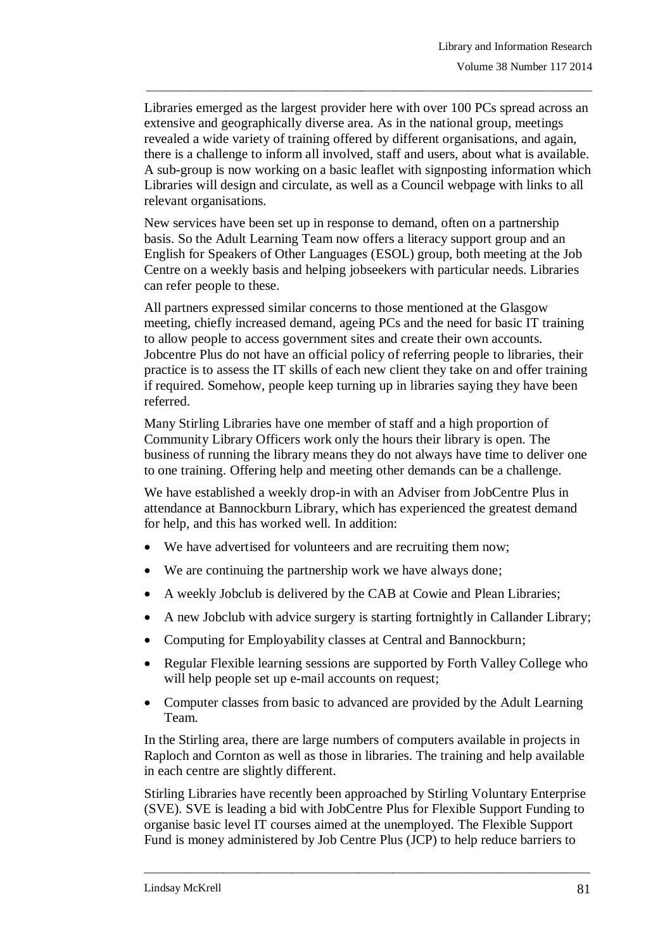Libraries emerged as the largest provider here with over 100 PCs spread across an extensive and geographically diverse area. As in the national group, meetings revealed a wide variety of training offered by different organisations, and again, there is a challenge to inform all involved, staff and users, about what is available. A sub-group is now working on a basic leaflet with signposting information which Libraries will design and circulate, as well as a Council webpage with links to all relevant organisations.

\_\_\_\_\_\_\_\_\_\_\_\_\_\_\_\_\_\_\_\_\_\_\_\_\_\_\_\_\_\_\_\_\_\_\_\_\_\_\_\_\_\_\_\_\_\_\_\_\_\_\_\_\_\_\_\_\_\_\_\_\_\_\_\_\_\_\_\_\_\_\_\_\_\_\_\_\_\_\_

New services have been set up in response to demand, often on a partnership basis. So the Adult Learning Team now offers a literacy support group and an English for Speakers of Other Languages (ESOL) group, both meeting at the Job Centre on a weekly basis and helping jobseekers with particular needs. Libraries can refer people to these.

All partners expressed similar concerns to those mentioned at the Glasgow meeting, chiefly increased demand, ageing PCs and the need for basic IT training to allow people to access government sites and create their own accounts. Jobcentre Plus do not have an official policy of referring people to libraries, their practice is to assess the IT skills of each new client they take on and offer training if required. Somehow, people keep turning up in libraries saying they have been referred.

Many Stirling Libraries have one member of staff and a high proportion of Community Library Officers work only the hours their library is open. The business of running the library means they do not always have time to deliver one to one training. Offering help and meeting other demands can be a challenge.

We have established a weekly drop-in with an Adviser from JobCentre Plus in attendance at Bannockburn Library, which has experienced the greatest demand for help, and this has worked well. In addition:

- We have advertised for volunteers and are recruiting them now;
- We are continuing the partnership work we have always done;
- A weekly Jobclub is delivered by the CAB at Cowie and Plean Libraries;
- A new Jobclub with advice surgery is starting fortnightly in Callander Library;
- Computing for Employability classes at Central and Bannockburn;
- Regular Flexible learning sessions are supported by Forth Valley College who will help people set up e-mail accounts on request;
- Computer classes from basic to advanced are provided by the Adult Learning Team.

In the Stirling area, there are large numbers of computers available in projects in Raploch and Cornton as well as those in libraries. The training and help available in each centre are slightly different.

Stirling Libraries have recently been approached by Stirling Voluntary Enterprise (SVE). SVE is leading a bid with JobCentre Plus for Flexible Support Funding to organise basic level IT courses aimed at the unemployed. The Flexible Support Fund is money administered by Job Centre Plus (JCP) to help reduce barriers to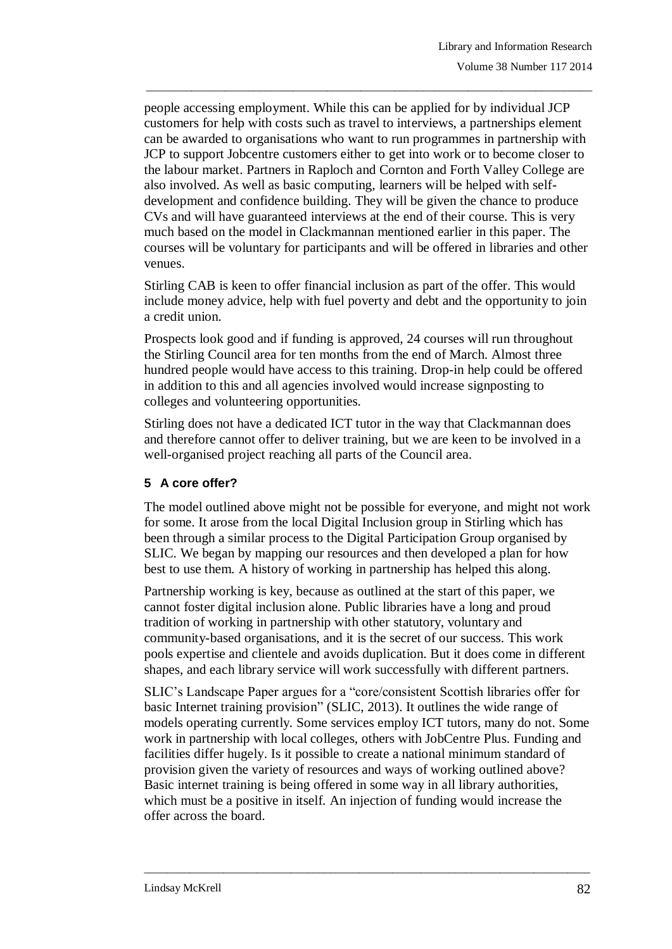people accessing employment. While this can be applied for by individual JCP customers for help with costs such as travel to interviews, a partnerships element can be awarded to organisations who want to run programmes in partnership with JCP to support Jobcentre customers either to get into work or to become closer to the labour market. Partners in Raploch and Cornton and Forth Valley College are also involved. As well as basic computing, learners will be helped with selfdevelopment and confidence building. They will be given the chance to produce CVs and will have guaranteed interviews at the end of their course. This is very much based on the model in Clackmannan mentioned earlier in this paper. The courses will be voluntary for participants and will be offered in libraries and other venues.

\_\_\_\_\_\_\_\_\_\_\_\_\_\_\_\_\_\_\_\_\_\_\_\_\_\_\_\_\_\_\_\_\_\_\_\_\_\_\_\_\_\_\_\_\_\_\_\_\_\_\_\_\_\_\_\_\_\_\_\_\_\_\_\_\_\_\_\_\_\_\_\_\_\_\_\_\_\_\_

Stirling CAB is keen to offer financial inclusion as part of the offer. This would include money advice, help with fuel poverty and debt and the opportunity to join a credit union.

Prospects look good and if funding is approved, 24 courses will run throughout the Stirling Council area for ten months from the end of March. Almost three hundred people would have access to this training. Drop-in help could be offered in addition to this and all agencies involved would increase signposting to colleges and volunteering opportunities.

Stirling does not have a dedicated ICT tutor in the way that Clackmannan does and therefore cannot offer to deliver training, but we are keen to be involved in a well-organised project reaching all parts of the Council area.

# **5 A core offer?**

The model outlined above might not be possible for everyone, and might not work for some. It arose from the local Digital Inclusion group in Stirling which has been through a similar process to the Digital Participation Group organised by SLIC. We began by mapping our resources and then developed a plan for how best to use them. A history of working in partnership has helped this along.

Partnership working is key, because as outlined at the start of this paper, we cannot foster digital inclusion alone. Public libraries have a long and proud tradition of working in partnership with other statutory, voluntary and community-based organisations, and it is the secret of our success. This work pools expertise and clientele and avoids duplication. But it does come in different shapes, and each library service will work successfully with different partners.

SLIC's Landscape Paper argues for a "core/consistent Scottish libraries offer for basic Internet training provision" (SLIC, 2013). It outlines the wide range of models operating currently. Some services employ ICT tutors, many do not. Some work in partnership with local colleges, others with JobCentre Plus. Funding and facilities differ hugely. Is it possible to create a national minimum standard of provision given the variety of resources and ways of working outlined above? Basic internet training is being offered in some way in all library authorities, which must be a positive in itself. An injection of funding would increase the offer across the board.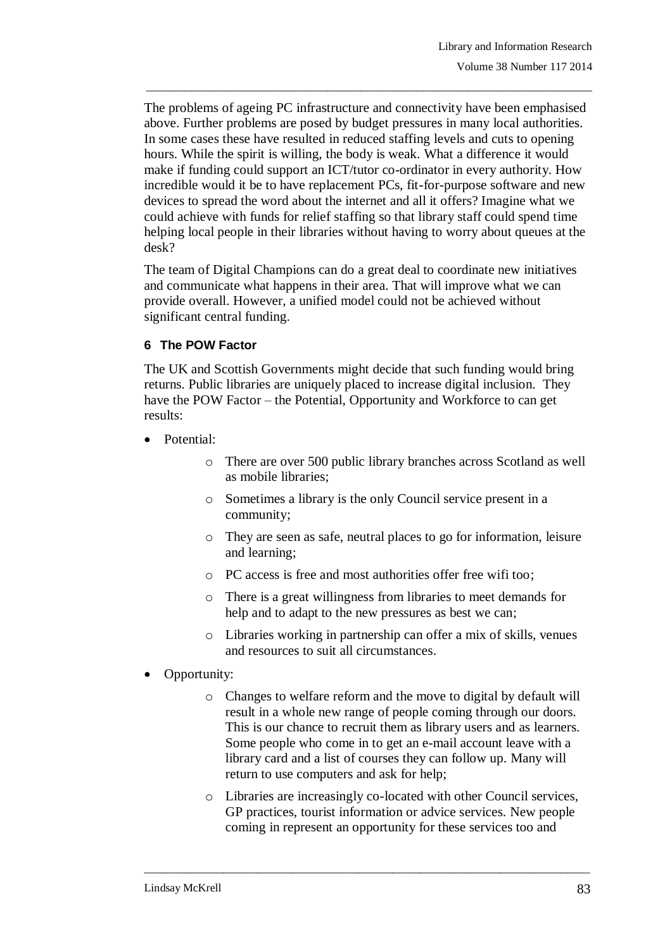The problems of ageing PC infrastructure and connectivity have been emphasised above. Further problems are posed by budget pressures in many local authorities. In some cases these have resulted in reduced staffing levels and cuts to opening hours. While the spirit is willing, the body is weak. What a difference it would make if funding could support an ICT/tutor co-ordinator in every authority. How incredible would it be to have replacement PCs, fit-for-purpose software and new devices to spread the word about the internet and all it offers? Imagine what we could achieve with funds for relief staffing so that library staff could spend time helping local people in their libraries without having to worry about queues at the desk?

\_\_\_\_\_\_\_\_\_\_\_\_\_\_\_\_\_\_\_\_\_\_\_\_\_\_\_\_\_\_\_\_\_\_\_\_\_\_\_\_\_\_\_\_\_\_\_\_\_\_\_\_\_\_\_\_\_\_\_\_\_\_\_\_\_\_\_\_\_\_\_\_\_\_\_\_\_\_\_

The team of Digital Champions can do a great deal to coordinate new initiatives and communicate what happens in their area. That will improve what we can provide overall. However, a unified model could not be achieved without significant central funding.

### **6 The POW Factor**

The UK and Scottish Governments might decide that such funding would bring returns. Public libraries are uniquely placed to increase digital inclusion. They have the POW Factor – the Potential, Opportunity and Workforce to can get results:

- Potential:
	- o There are over 500 public library branches across Scotland as well as mobile libraries;
	- o Sometimes a library is the only Council service present in a community;
	- o They are seen as safe, neutral places to go for information, leisure and learning;
	- o PC access is free and most authorities offer free wifi too;
	- o There is a great willingness from libraries to meet demands for help and to adapt to the new pressures as best we can:
	- o Libraries working in partnership can offer a mix of skills, venues and resources to suit all circumstances.
- Opportunity:
	- o Changes to welfare reform and the move to digital by default will result in a whole new range of people coming through our doors. This is our chance to recruit them as library users and as learners. Some people who come in to get an e-mail account leave with a library card and a list of courses they can follow up. Many will return to use computers and ask for help;
	- o Libraries are increasingly co-located with other Council services, GP practices, tourist information or advice services. New people coming in represent an opportunity for these services too and